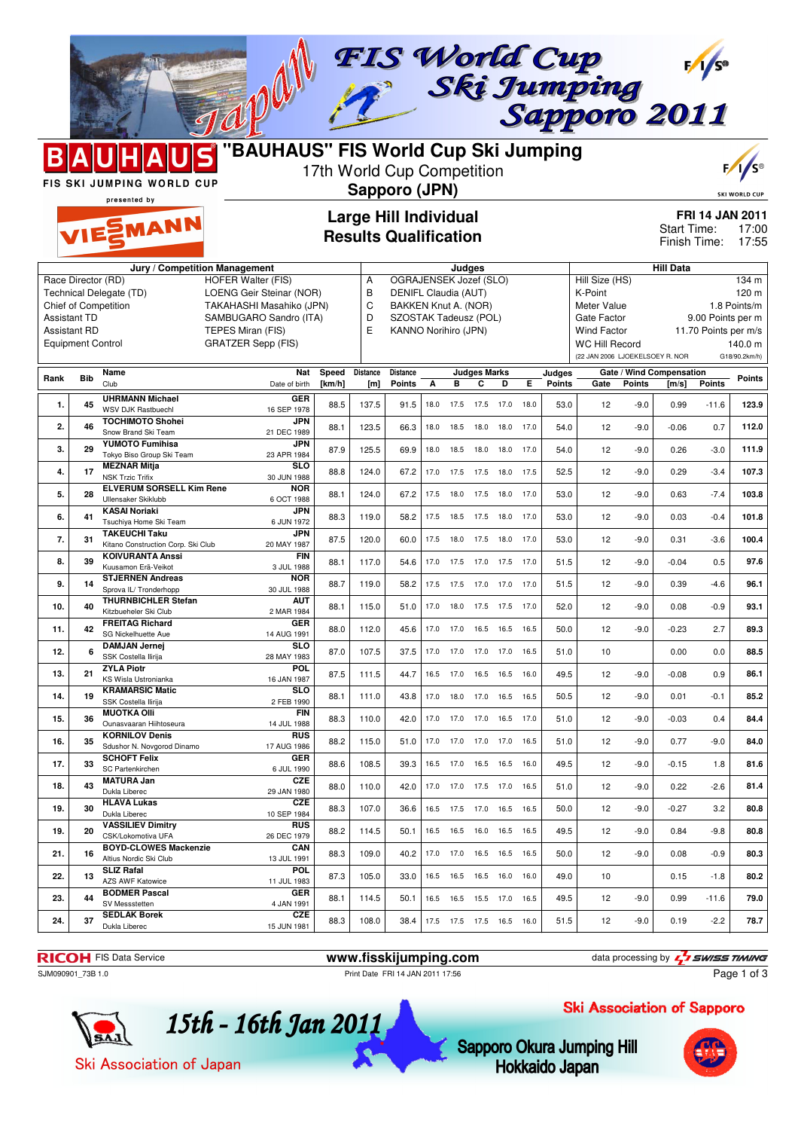

| <b>MEZNAR Mitia</b><br><b>SLO</b><br>107.3<br>4.<br>17<br>$-9.0$<br>$-3.4$<br>88.8<br>124.0<br>67.2<br>17.0 17.5 17.5<br>52.5<br>12<br>0.29<br>18.0 17.5<br><b>NSK Trzic Trifix</b><br>30 JUN 1988<br><b>ELVERUM SORSELL Kim Rene</b><br><b>NOR</b><br>103.8<br>5.<br>124.0<br>53.0<br>12<br>$-9.0$<br>0.63<br>$-7.4$<br>28<br>88.1<br>67.2<br>17.5<br>18.0 17.5<br>18.0 17.0<br>Ullensaker Skiklubb<br>6 OCT 1988<br><b>KASAI Noriaki</b><br><b>JPN</b><br>$-9.0$<br>101.8<br>6.<br>41<br>88.3<br>119.0<br>58.2<br>53.0<br>12<br>0.03<br>$-0.4$<br>17.5<br>18.5 17.5<br>18.0 17.0<br>Tsuchiya Home Ski Team<br>6 JUN 1972<br><b>TAKEUCHI Taku</b><br>JPN<br>$-3.6$<br>7.<br>87.5<br>17.5  18.0  17.5  18.0  17.0<br>12<br>$-9.0$<br>100.4<br>31<br>120.0<br>60.0<br>53.0<br>0.31<br>Kitano Construction Corp. Ski Club<br>20 MAY 1987<br><b>KOIVURANTA Anssi</b><br><b>FIN</b><br>0.5<br>97.6<br>8.<br>39<br>88.1<br>117.0<br>54.6<br>17.0  17.5  17.0  17.5  17.0<br>51.5<br>12<br>$-9.0$<br>$-0.04$<br>Kuusamon Erä-Veikot<br>3 JUL 1988<br><b>STJERNEN Andreas</b><br><b>NOR</b><br>96.1<br>9.<br>14<br>88.7<br>119.0<br>51.5<br>12<br>$-9.0$<br>0.39<br>$-4.6$<br>58.2<br>17.5 17.0 17.0 17.0<br>17.5<br>Sprova IL/ Tronderhopp<br>30 JUL 1988<br><b>THURNBICHLER Stefan</b><br><b>AUT</b><br>93.1<br>10.<br>40<br>18.0 17.5 17.5 17.0<br>$-0.9$<br>88.1<br>115.0<br>51.0<br>17.0<br>52.0<br>$-9.0$<br>0.08<br>12<br>Kitzbueheler Ski Club<br>2 MAR 1984<br><b>FREITAG Richard</b><br><b>GER</b><br>2.7<br>89.3<br>$-9.0$<br>11.<br>42<br>88.0<br>112.0<br>45.6<br>17.0 17.0 16.5 16.5 16.5<br>50.0<br>12<br>$-0.23$<br>SG Nickelhuette Aue<br>14 AUG 1991<br><b>DAMJAN Jernej</b><br><b>SLO</b><br>88.5<br>12.<br>87.0<br>107.5<br>37.5<br>51.0<br>10<br>0.00<br>0.0<br>17.0<br>17.0<br>17.0<br>17.0 16.5<br>SSK Costella Iliriia<br>28 MAY 1983<br><b>ZYLA Piotr</b><br><b>POL</b><br>0.9<br>13.<br>21<br>87.5<br>111.5<br>44.7<br>49.5<br>12<br>$-9.0$<br>$-0.08$<br>86.1<br>16.5<br>17.0<br>16.5<br>16.5 16.0<br>KS Wisla Ustronianka<br>16 JAN 1987<br><b>KRAMARSIC Matic</b><br><b>SLO</b><br>14.<br>85.2<br>$-9.0$<br>19<br>88.1<br>111.0<br>18.0 17.0 16.5 16.5<br>50.5<br>12<br>0.01<br>$-0.1$<br>43.8<br>17.0<br>SSK Costella Ilirija<br>2 FEB 1990<br><b>MUOTKA OIII</b><br><b>FIN</b><br>84.4<br>12<br>$-9.0$<br>0.4<br>15.<br>36<br>88.3<br>110.0<br>42.0<br>17.0<br>17.0<br>17.0<br>16.5 17.0<br>51.0<br>$-0.03$<br>Ounasvaaran Hiihtoseura<br>14 JUL 1988<br><b>KORNILOV Denis</b><br><b>RUS</b><br>84.0<br>16.<br>35<br>$-9.0$<br>$-9.0$<br>88.2<br>115.0<br>51.0<br>17.0 17.0 17.0 17.0 16.5<br>51.0<br>12<br>0.77<br>Sdushor N. Novgorod Dinamo<br>17 AUG 1986<br><b>SCHOFT Felix</b><br><b>GER</b><br>81.6<br>17.<br>33<br>88.6<br>108.5<br>$-9.0$<br>1.8<br>39.3<br>16.5 17.0 16.5 16.5 16.0<br>49.5<br>12<br>$-0.15$<br><b>SC Partenkirchen</b><br>6 JUL 1990<br><b>MATURA Jan</b><br><b>CZE</b><br>$-2.6$<br>81.4<br>43<br>88.0<br>110.0<br>42.0<br>17.0<br>17.5 17.0 16.5<br>51.0<br>12<br>$-9.0$<br>0.22<br>18.<br>17.0<br>Dukla Liberec<br>29 JAN 1980<br><b>HLAVA Lukas</b><br><b>CZE</b><br>$-9.0$<br>$-0.27$<br>3.2<br>80.8<br>19.<br>30<br>88.3<br>107.0<br>36.6<br>16.5 17.5 17.0 16.5 16.5<br>50.0<br>12<br>Dukla Liberec<br>10 SEP 1984<br><b>VASSILIEV Dimitry</b><br><b>RUS</b><br>88.2<br>114.5<br>$-9.0$<br>0.84<br>$-9.8$<br>19.<br>20<br>50.1<br>16.5 16.5<br>49.5<br>12<br>16.0 16.5 16.5<br>CSK/Lokomotiva UFA<br>26 DEC 1979<br><b>BOYD-CLOWES Mackenzie</b><br>CAN<br>$-0.9$<br>80.3<br>88.3<br>109.0<br>40.2<br>12<br>$-9.0$<br>21.<br>16<br>17.0<br>16.5<br>16.5<br>50.0<br>0.08<br>17.0<br>16.5<br>Altius Nordic Ski Club<br>13 JUL 1991<br><b>SLIZ Rafal</b><br>POL<br>80.2<br>22.<br>13<br>87.3<br>105.0<br>33.0<br>16.5<br>16.5<br>16.5<br>49.0<br>10<br>0.15<br>$-1.8$<br>16.0 16.0<br><b>AZS AWF Katowice</b><br>11 JUL 1983<br><b>BODMER Pascal</b><br><b>GER</b><br>23.<br>88.1<br>114.5<br>12<br>$-9.0$<br>0.99<br>$-11.6$<br>79.0<br>44<br>50.1<br>16.5 16.5 15.5 17.0 16.5<br>49.5<br>SV Messstetten<br>4 JAN 1991<br><b>SEDLAK Borek</b><br><b>CZE</b><br>24.<br>37<br>$-2.2$<br>88.3<br>108.0<br>51.5<br>12<br>$-9.0$<br>0.19<br>38.4<br>17.5<br>17.5<br>17.5<br>16.5<br>16.0<br>Dukla Liberec<br>15 JUN 1981 | 3. | 29 | YUMU IU FUMINISA          | JPN         | 87.9 | 125.5 | 69.9 | 18.0 | 18.5 | 18.0 | 18.0 17.0 | 54.0 | 12 | $-9.0$ | 0.26 | $-3.0$ | 111.9 |
|-----------------------------------------------------------------------------------------------------------------------------------------------------------------------------------------------------------------------------------------------------------------------------------------------------------------------------------------------------------------------------------------------------------------------------------------------------------------------------------------------------------------------------------------------------------------------------------------------------------------------------------------------------------------------------------------------------------------------------------------------------------------------------------------------------------------------------------------------------------------------------------------------------------------------------------------------------------------------------------------------------------------------------------------------------------------------------------------------------------------------------------------------------------------------------------------------------------------------------------------------------------------------------------------------------------------------------------------------------------------------------------------------------------------------------------------------------------------------------------------------------------------------------------------------------------------------------------------------------------------------------------------------------------------------------------------------------------------------------------------------------------------------------------------------------------------------------------------------------------------------------------------------------------------------------------------------------------------------------------------------------------------------------------------------------------------------------------------------------------------------------------------------------------------------------------------------------------------------------------------------------------------------------------------------------------------------------------------------------------------------------------------------------------------------------------------------------------------------------------------------------------------------------------------------------------------------------------------------------------------------------------------------------------------------------------------------------------------------------------------------------------------------------------------------------------------------------------------------------------------------------------------------------------------------------------------------------------------------------------------------------------------------------------------------------------------------------------------------------------------------------------------------------------------------------------------------------------------------------------------------------------------------------------------------------------------------------------------------------------------------------------------------------------------------------------------------------------------------------------------------------------------------------------------------------------------------------------------------------------------------------------------------------------------------------------------------------------------------------------------------------------------------------------------------------------------------------------------------------------------------------------------------------------------------------------------------------------------------------------------------------------------------------------------------------------------------------------------------------------------------------------------------------------------------------------------------------------------------------------------------------------------------------|----|----|---------------------------|-------------|------|-------|------|------|------|------|-----------|------|----|--------|------|--------|-------|
|                                                                                                                                                                                                                                                                                                                                                                                                                                                                                                                                                                                                                                                                                                                                                                                                                                                                                                                                                                                                                                                                                                                                                                                                                                                                                                                                                                                                                                                                                                                                                                                                                                                                                                                                                                                                                                                                                                                                                                                                                                                                                                                                                                                                                                                                                                                                                                                                                                                                                                                                                                                                                                                                                                                                                                                                                                                                                                                                                                                                                                                                                                                                                                                                                                                                                                                                                                                                                                                                                                                                                                                                                                                                                                                                                                                                                                                                                                                                                                                                                                                                                                                                                                                                                                                                             |    |    | Tokyo Biso Group Ski Team | 23 APR 1984 |      |       |      |      |      |      |           |      |    |        |      |        |       |
|                                                                                                                                                                                                                                                                                                                                                                                                                                                                                                                                                                                                                                                                                                                                                                                                                                                                                                                                                                                                                                                                                                                                                                                                                                                                                                                                                                                                                                                                                                                                                                                                                                                                                                                                                                                                                                                                                                                                                                                                                                                                                                                                                                                                                                                                                                                                                                                                                                                                                                                                                                                                                                                                                                                                                                                                                                                                                                                                                                                                                                                                                                                                                                                                                                                                                                                                                                                                                                                                                                                                                                                                                                                                                                                                                                                                                                                                                                                                                                                                                                                                                                                                                                                                                                                                             |    |    |                           |             |      |       |      |      |      |      |           |      |    |        |      |        |       |
|                                                                                                                                                                                                                                                                                                                                                                                                                                                                                                                                                                                                                                                                                                                                                                                                                                                                                                                                                                                                                                                                                                                                                                                                                                                                                                                                                                                                                                                                                                                                                                                                                                                                                                                                                                                                                                                                                                                                                                                                                                                                                                                                                                                                                                                                                                                                                                                                                                                                                                                                                                                                                                                                                                                                                                                                                                                                                                                                                                                                                                                                                                                                                                                                                                                                                                                                                                                                                                                                                                                                                                                                                                                                                                                                                                                                                                                                                                                                                                                                                                                                                                                                                                                                                                                                             |    |    |                           |             |      |       |      |      |      |      |           |      |    |        |      |        |       |
|                                                                                                                                                                                                                                                                                                                                                                                                                                                                                                                                                                                                                                                                                                                                                                                                                                                                                                                                                                                                                                                                                                                                                                                                                                                                                                                                                                                                                                                                                                                                                                                                                                                                                                                                                                                                                                                                                                                                                                                                                                                                                                                                                                                                                                                                                                                                                                                                                                                                                                                                                                                                                                                                                                                                                                                                                                                                                                                                                                                                                                                                                                                                                                                                                                                                                                                                                                                                                                                                                                                                                                                                                                                                                                                                                                                                                                                                                                                                                                                                                                                                                                                                                                                                                                                                             |    |    |                           |             |      |       |      |      |      |      |           |      |    |        |      |        |       |
|                                                                                                                                                                                                                                                                                                                                                                                                                                                                                                                                                                                                                                                                                                                                                                                                                                                                                                                                                                                                                                                                                                                                                                                                                                                                                                                                                                                                                                                                                                                                                                                                                                                                                                                                                                                                                                                                                                                                                                                                                                                                                                                                                                                                                                                                                                                                                                                                                                                                                                                                                                                                                                                                                                                                                                                                                                                                                                                                                                                                                                                                                                                                                                                                                                                                                                                                                                                                                                                                                                                                                                                                                                                                                                                                                                                                                                                                                                                                                                                                                                                                                                                                                                                                                                                                             |    |    |                           |             |      |       |      |      |      |      |           |      |    |        |      |        |       |
|                                                                                                                                                                                                                                                                                                                                                                                                                                                                                                                                                                                                                                                                                                                                                                                                                                                                                                                                                                                                                                                                                                                                                                                                                                                                                                                                                                                                                                                                                                                                                                                                                                                                                                                                                                                                                                                                                                                                                                                                                                                                                                                                                                                                                                                                                                                                                                                                                                                                                                                                                                                                                                                                                                                                                                                                                                                                                                                                                                                                                                                                                                                                                                                                                                                                                                                                                                                                                                                                                                                                                                                                                                                                                                                                                                                                                                                                                                                                                                                                                                                                                                                                                                                                                                                                             |    |    |                           |             |      |       |      |      |      |      |           |      |    |        |      |        |       |
|                                                                                                                                                                                                                                                                                                                                                                                                                                                                                                                                                                                                                                                                                                                                                                                                                                                                                                                                                                                                                                                                                                                                                                                                                                                                                                                                                                                                                                                                                                                                                                                                                                                                                                                                                                                                                                                                                                                                                                                                                                                                                                                                                                                                                                                                                                                                                                                                                                                                                                                                                                                                                                                                                                                                                                                                                                                                                                                                                                                                                                                                                                                                                                                                                                                                                                                                                                                                                                                                                                                                                                                                                                                                                                                                                                                                                                                                                                                                                                                                                                                                                                                                                                                                                                                                             |    |    |                           |             |      |       |      |      |      |      |           |      |    |        |      |        |       |
|                                                                                                                                                                                                                                                                                                                                                                                                                                                                                                                                                                                                                                                                                                                                                                                                                                                                                                                                                                                                                                                                                                                                                                                                                                                                                                                                                                                                                                                                                                                                                                                                                                                                                                                                                                                                                                                                                                                                                                                                                                                                                                                                                                                                                                                                                                                                                                                                                                                                                                                                                                                                                                                                                                                                                                                                                                                                                                                                                                                                                                                                                                                                                                                                                                                                                                                                                                                                                                                                                                                                                                                                                                                                                                                                                                                                                                                                                                                                                                                                                                                                                                                                                                                                                                                                             |    |    |                           |             |      |       |      |      |      |      |           |      |    |        |      |        |       |
|                                                                                                                                                                                                                                                                                                                                                                                                                                                                                                                                                                                                                                                                                                                                                                                                                                                                                                                                                                                                                                                                                                                                                                                                                                                                                                                                                                                                                                                                                                                                                                                                                                                                                                                                                                                                                                                                                                                                                                                                                                                                                                                                                                                                                                                                                                                                                                                                                                                                                                                                                                                                                                                                                                                                                                                                                                                                                                                                                                                                                                                                                                                                                                                                                                                                                                                                                                                                                                                                                                                                                                                                                                                                                                                                                                                                                                                                                                                                                                                                                                                                                                                                                                                                                                                                             |    |    |                           |             |      |       |      |      |      |      |           |      |    |        |      |        |       |
|                                                                                                                                                                                                                                                                                                                                                                                                                                                                                                                                                                                                                                                                                                                                                                                                                                                                                                                                                                                                                                                                                                                                                                                                                                                                                                                                                                                                                                                                                                                                                                                                                                                                                                                                                                                                                                                                                                                                                                                                                                                                                                                                                                                                                                                                                                                                                                                                                                                                                                                                                                                                                                                                                                                                                                                                                                                                                                                                                                                                                                                                                                                                                                                                                                                                                                                                                                                                                                                                                                                                                                                                                                                                                                                                                                                                                                                                                                                                                                                                                                                                                                                                                                                                                                                                             |    |    |                           |             |      |       |      |      |      |      |           |      |    |        |      |        |       |
|                                                                                                                                                                                                                                                                                                                                                                                                                                                                                                                                                                                                                                                                                                                                                                                                                                                                                                                                                                                                                                                                                                                                                                                                                                                                                                                                                                                                                                                                                                                                                                                                                                                                                                                                                                                                                                                                                                                                                                                                                                                                                                                                                                                                                                                                                                                                                                                                                                                                                                                                                                                                                                                                                                                                                                                                                                                                                                                                                                                                                                                                                                                                                                                                                                                                                                                                                                                                                                                                                                                                                                                                                                                                                                                                                                                                                                                                                                                                                                                                                                                                                                                                                                                                                                                                             |    |    |                           |             |      |       |      |      |      |      |           |      |    |        |      |        |       |
|                                                                                                                                                                                                                                                                                                                                                                                                                                                                                                                                                                                                                                                                                                                                                                                                                                                                                                                                                                                                                                                                                                                                                                                                                                                                                                                                                                                                                                                                                                                                                                                                                                                                                                                                                                                                                                                                                                                                                                                                                                                                                                                                                                                                                                                                                                                                                                                                                                                                                                                                                                                                                                                                                                                                                                                                                                                                                                                                                                                                                                                                                                                                                                                                                                                                                                                                                                                                                                                                                                                                                                                                                                                                                                                                                                                                                                                                                                                                                                                                                                                                                                                                                                                                                                                                             |    |    |                           |             |      |       |      |      |      |      |           |      |    |        |      |        |       |
|                                                                                                                                                                                                                                                                                                                                                                                                                                                                                                                                                                                                                                                                                                                                                                                                                                                                                                                                                                                                                                                                                                                                                                                                                                                                                                                                                                                                                                                                                                                                                                                                                                                                                                                                                                                                                                                                                                                                                                                                                                                                                                                                                                                                                                                                                                                                                                                                                                                                                                                                                                                                                                                                                                                                                                                                                                                                                                                                                                                                                                                                                                                                                                                                                                                                                                                                                                                                                                                                                                                                                                                                                                                                                                                                                                                                                                                                                                                                                                                                                                                                                                                                                                                                                                                                             |    |    |                           |             |      |       |      |      |      |      |           |      |    |        |      |        |       |
|                                                                                                                                                                                                                                                                                                                                                                                                                                                                                                                                                                                                                                                                                                                                                                                                                                                                                                                                                                                                                                                                                                                                                                                                                                                                                                                                                                                                                                                                                                                                                                                                                                                                                                                                                                                                                                                                                                                                                                                                                                                                                                                                                                                                                                                                                                                                                                                                                                                                                                                                                                                                                                                                                                                                                                                                                                                                                                                                                                                                                                                                                                                                                                                                                                                                                                                                                                                                                                                                                                                                                                                                                                                                                                                                                                                                                                                                                                                                                                                                                                                                                                                                                                                                                                                                             |    |    |                           |             |      |       |      |      |      |      |           |      |    |        |      |        |       |
|                                                                                                                                                                                                                                                                                                                                                                                                                                                                                                                                                                                                                                                                                                                                                                                                                                                                                                                                                                                                                                                                                                                                                                                                                                                                                                                                                                                                                                                                                                                                                                                                                                                                                                                                                                                                                                                                                                                                                                                                                                                                                                                                                                                                                                                                                                                                                                                                                                                                                                                                                                                                                                                                                                                                                                                                                                                                                                                                                                                                                                                                                                                                                                                                                                                                                                                                                                                                                                                                                                                                                                                                                                                                                                                                                                                                                                                                                                                                                                                                                                                                                                                                                                                                                                                                             |    |    |                           |             |      |       |      |      |      |      |           |      |    |        |      |        |       |
|                                                                                                                                                                                                                                                                                                                                                                                                                                                                                                                                                                                                                                                                                                                                                                                                                                                                                                                                                                                                                                                                                                                                                                                                                                                                                                                                                                                                                                                                                                                                                                                                                                                                                                                                                                                                                                                                                                                                                                                                                                                                                                                                                                                                                                                                                                                                                                                                                                                                                                                                                                                                                                                                                                                                                                                                                                                                                                                                                                                                                                                                                                                                                                                                                                                                                                                                                                                                                                                                                                                                                                                                                                                                                                                                                                                                                                                                                                                                                                                                                                                                                                                                                                                                                                                                             |    |    |                           |             |      |       |      |      |      |      |           |      |    |        |      |        |       |
|                                                                                                                                                                                                                                                                                                                                                                                                                                                                                                                                                                                                                                                                                                                                                                                                                                                                                                                                                                                                                                                                                                                                                                                                                                                                                                                                                                                                                                                                                                                                                                                                                                                                                                                                                                                                                                                                                                                                                                                                                                                                                                                                                                                                                                                                                                                                                                                                                                                                                                                                                                                                                                                                                                                                                                                                                                                                                                                                                                                                                                                                                                                                                                                                                                                                                                                                                                                                                                                                                                                                                                                                                                                                                                                                                                                                                                                                                                                                                                                                                                                                                                                                                                                                                                                                             |    |    |                           |             |      |       |      |      |      |      |           |      |    |        |      |        |       |
|                                                                                                                                                                                                                                                                                                                                                                                                                                                                                                                                                                                                                                                                                                                                                                                                                                                                                                                                                                                                                                                                                                                                                                                                                                                                                                                                                                                                                                                                                                                                                                                                                                                                                                                                                                                                                                                                                                                                                                                                                                                                                                                                                                                                                                                                                                                                                                                                                                                                                                                                                                                                                                                                                                                                                                                                                                                                                                                                                                                                                                                                                                                                                                                                                                                                                                                                                                                                                                                                                                                                                                                                                                                                                                                                                                                                                                                                                                                                                                                                                                                                                                                                                                                                                                                                             |    |    |                           |             |      |       |      |      |      |      |           |      |    |        |      |        |       |
|                                                                                                                                                                                                                                                                                                                                                                                                                                                                                                                                                                                                                                                                                                                                                                                                                                                                                                                                                                                                                                                                                                                                                                                                                                                                                                                                                                                                                                                                                                                                                                                                                                                                                                                                                                                                                                                                                                                                                                                                                                                                                                                                                                                                                                                                                                                                                                                                                                                                                                                                                                                                                                                                                                                                                                                                                                                                                                                                                                                                                                                                                                                                                                                                                                                                                                                                                                                                                                                                                                                                                                                                                                                                                                                                                                                                                                                                                                                                                                                                                                                                                                                                                                                                                                                                             |    |    |                           |             |      |       |      |      |      |      |           |      |    |        |      |        |       |
|                                                                                                                                                                                                                                                                                                                                                                                                                                                                                                                                                                                                                                                                                                                                                                                                                                                                                                                                                                                                                                                                                                                                                                                                                                                                                                                                                                                                                                                                                                                                                                                                                                                                                                                                                                                                                                                                                                                                                                                                                                                                                                                                                                                                                                                                                                                                                                                                                                                                                                                                                                                                                                                                                                                                                                                                                                                                                                                                                                                                                                                                                                                                                                                                                                                                                                                                                                                                                                                                                                                                                                                                                                                                                                                                                                                                                                                                                                                                                                                                                                                                                                                                                                                                                                                                             |    |    |                           |             |      |       |      |      |      |      |           |      |    |        |      |        |       |
|                                                                                                                                                                                                                                                                                                                                                                                                                                                                                                                                                                                                                                                                                                                                                                                                                                                                                                                                                                                                                                                                                                                                                                                                                                                                                                                                                                                                                                                                                                                                                                                                                                                                                                                                                                                                                                                                                                                                                                                                                                                                                                                                                                                                                                                                                                                                                                                                                                                                                                                                                                                                                                                                                                                                                                                                                                                                                                                                                                                                                                                                                                                                                                                                                                                                                                                                                                                                                                                                                                                                                                                                                                                                                                                                                                                                                                                                                                                                                                                                                                                                                                                                                                                                                                                                             |    |    |                           |             |      |       |      |      |      |      |           |      |    |        |      |        |       |
|                                                                                                                                                                                                                                                                                                                                                                                                                                                                                                                                                                                                                                                                                                                                                                                                                                                                                                                                                                                                                                                                                                                                                                                                                                                                                                                                                                                                                                                                                                                                                                                                                                                                                                                                                                                                                                                                                                                                                                                                                                                                                                                                                                                                                                                                                                                                                                                                                                                                                                                                                                                                                                                                                                                                                                                                                                                                                                                                                                                                                                                                                                                                                                                                                                                                                                                                                                                                                                                                                                                                                                                                                                                                                                                                                                                                                                                                                                                                                                                                                                                                                                                                                                                                                                                                             |    |    |                           |             |      |       |      |      |      |      |           |      |    |        |      |        |       |
|                                                                                                                                                                                                                                                                                                                                                                                                                                                                                                                                                                                                                                                                                                                                                                                                                                                                                                                                                                                                                                                                                                                                                                                                                                                                                                                                                                                                                                                                                                                                                                                                                                                                                                                                                                                                                                                                                                                                                                                                                                                                                                                                                                                                                                                                                                                                                                                                                                                                                                                                                                                                                                                                                                                                                                                                                                                                                                                                                                                                                                                                                                                                                                                                                                                                                                                                                                                                                                                                                                                                                                                                                                                                                                                                                                                                                                                                                                                                                                                                                                                                                                                                                                                                                                                                             |    |    |                           |             |      |       |      |      |      |      |           |      |    |        |      |        |       |
|                                                                                                                                                                                                                                                                                                                                                                                                                                                                                                                                                                                                                                                                                                                                                                                                                                                                                                                                                                                                                                                                                                                                                                                                                                                                                                                                                                                                                                                                                                                                                                                                                                                                                                                                                                                                                                                                                                                                                                                                                                                                                                                                                                                                                                                                                                                                                                                                                                                                                                                                                                                                                                                                                                                                                                                                                                                                                                                                                                                                                                                                                                                                                                                                                                                                                                                                                                                                                                                                                                                                                                                                                                                                                                                                                                                                                                                                                                                                                                                                                                                                                                                                                                                                                                                                             |    |    |                           |             |      |       |      |      |      |      |           |      |    |        |      |        |       |
|                                                                                                                                                                                                                                                                                                                                                                                                                                                                                                                                                                                                                                                                                                                                                                                                                                                                                                                                                                                                                                                                                                                                                                                                                                                                                                                                                                                                                                                                                                                                                                                                                                                                                                                                                                                                                                                                                                                                                                                                                                                                                                                                                                                                                                                                                                                                                                                                                                                                                                                                                                                                                                                                                                                                                                                                                                                                                                                                                                                                                                                                                                                                                                                                                                                                                                                                                                                                                                                                                                                                                                                                                                                                                                                                                                                                                                                                                                                                                                                                                                                                                                                                                                                                                                                                             |    |    |                           |             |      |       |      |      |      |      |           |      |    |        |      |        |       |
|                                                                                                                                                                                                                                                                                                                                                                                                                                                                                                                                                                                                                                                                                                                                                                                                                                                                                                                                                                                                                                                                                                                                                                                                                                                                                                                                                                                                                                                                                                                                                                                                                                                                                                                                                                                                                                                                                                                                                                                                                                                                                                                                                                                                                                                                                                                                                                                                                                                                                                                                                                                                                                                                                                                                                                                                                                                                                                                                                                                                                                                                                                                                                                                                                                                                                                                                                                                                                                                                                                                                                                                                                                                                                                                                                                                                                                                                                                                                                                                                                                                                                                                                                                                                                                                                             |    |    |                           |             |      |       |      |      |      |      |           |      |    |        |      |        |       |
|                                                                                                                                                                                                                                                                                                                                                                                                                                                                                                                                                                                                                                                                                                                                                                                                                                                                                                                                                                                                                                                                                                                                                                                                                                                                                                                                                                                                                                                                                                                                                                                                                                                                                                                                                                                                                                                                                                                                                                                                                                                                                                                                                                                                                                                                                                                                                                                                                                                                                                                                                                                                                                                                                                                                                                                                                                                                                                                                                                                                                                                                                                                                                                                                                                                                                                                                                                                                                                                                                                                                                                                                                                                                                                                                                                                                                                                                                                                                                                                                                                                                                                                                                                                                                                                                             |    |    |                           |             |      |       |      |      |      |      |           |      |    |        |      |        |       |
|                                                                                                                                                                                                                                                                                                                                                                                                                                                                                                                                                                                                                                                                                                                                                                                                                                                                                                                                                                                                                                                                                                                                                                                                                                                                                                                                                                                                                                                                                                                                                                                                                                                                                                                                                                                                                                                                                                                                                                                                                                                                                                                                                                                                                                                                                                                                                                                                                                                                                                                                                                                                                                                                                                                                                                                                                                                                                                                                                                                                                                                                                                                                                                                                                                                                                                                                                                                                                                                                                                                                                                                                                                                                                                                                                                                                                                                                                                                                                                                                                                                                                                                                                                                                                                                                             |    |    |                           |             |      |       |      |      |      |      |           |      |    |        |      |        |       |
|                                                                                                                                                                                                                                                                                                                                                                                                                                                                                                                                                                                                                                                                                                                                                                                                                                                                                                                                                                                                                                                                                                                                                                                                                                                                                                                                                                                                                                                                                                                                                                                                                                                                                                                                                                                                                                                                                                                                                                                                                                                                                                                                                                                                                                                                                                                                                                                                                                                                                                                                                                                                                                                                                                                                                                                                                                                                                                                                                                                                                                                                                                                                                                                                                                                                                                                                                                                                                                                                                                                                                                                                                                                                                                                                                                                                                                                                                                                                                                                                                                                                                                                                                                                                                                                                             |    |    |                           |             |      |       |      |      |      |      |           |      |    |        |      |        |       |
|                                                                                                                                                                                                                                                                                                                                                                                                                                                                                                                                                                                                                                                                                                                                                                                                                                                                                                                                                                                                                                                                                                                                                                                                                                                                                                                                                                                                                                                                                                                                                                                                                                                                                                                                                                                                                                                                                                                                                                                                                                                                                                                                                                                                                                                                                                                                                                                                                                                                                                                                                                                                                                                                                                                                                                                                                                                                                                                                                                                                                                                                                                                                                                                                                                                                                                                                                                                                                                                                                                                                                                                                                                                                                                                                                                                                                                                                                                                                                                                                                                                                                                                                                                                                                                                                             |    |    |                           |             |      |       |      |      |      |      |           |      |    |        |      |        |       |
|                                                                                                                                                                                                                                                                                                                                                                                                                                                                                                                                                                                                                                                                                                                                                                                                                                                                                                                                                                                                                                                                                                                                                                                                                                                                                                                                                                                                                                                                                                                                                                                                                                                                                                                                                                                                                                                                                                                                                                                                                                                                                                                                                                                                                                                                                                                                                                                                                                                                                                                                                                                                                                                                                                                                                                                                                                                                                                                                                                                                                                                                                                                                                                                                                                                                                                                                                                                                                                                                                                                                                                                                                                                                                                                                                                                                                                                                                                                                                                                                                                                                                                                                                                                                                                                                             |    |    |                           |             |      |       |      |      |      |      |           |      |    |        |      |        |       |
|                                                                                                                                                                                                                                                                                                                                                                                                                                                                                                                                                                                                                                                                                                                                                                                                                                                                                                                                                                                                                                                                                                                                                                                                                                                                                                                                                                                                                                                                                                                                                                                                                                                                                                                                                                                                                                                                                                                                                                                                                                                                                                                                                                                                                                                                                                                                                                                                                                                                                                                                                                                                                                                                                                                                                                                                                                                                                                                                                                                                                                                                                                                                                                                                                                                                                                                                                                                                                                                                                                                                                                                                                                                                                                                                                                                                                                                                                                                                                                                                                                                                                                                                                                                                                                                                             |    |    |                           |             |      |       |      |      |      |      |           |      |    |        |      |        |       |
|                                                                                                                                                                                                                                                                                                                                                                                                                                                                                                                                                                                                                                                                                                                                                                                                                                                                                                                                                                                                                                                                                                                                                                                                                                                                                                                                                                                                                                                                                                                                                                                                                                                                                                                                                                                                                                                                                                                                                                                                                                                                                                                                                                                                                                                                                                                                                                                                                                                                                                                                                                                                                                                                                                                                                                                                                                                                                                                                                                                                                                                                                                                                                                                                                                                                                                                                                                                                                                                                                                                                                                                                                                                                                                                                                                                                                                                                                                                                                                                                                                                                                                                                                                                                                                                                             |    |    |                           |             |      |       |      |      |      |      |           |      |    |        |      |        |       |
|                                                                                                                                                                                                                                                                                                                                                                                                                                                                                                                                                                                                                                                                                                                                                                                                                                                                                                                                                                                                                                                                                                                                                                                                                                                                                                                                                                                                                                                                                                                                                                                                                                                                                                                                                                                                                                                                                                                                                                                                                                                                                                                                                                                                                                                                                                                                                                                                                                                                                                                                                                                                                                                                                                                                                                                                                                                                                                                                                                                                                                                                                                                                                                                                                                                                                                                                                                                                                                                                                                                                                                                                                                                                                                                                                                                                                                                                                                                                                                                                                                                                                                                                                                                                                                                                             |    |    |                           |             |      |       |      |      |      |      |           |      |    |        |      |        | 80.8  |
|                                                                                                                                                                                                                                                                                                                                                                                                                                                                                                                                                                                                                                                                                                                                                                                                                                                                                                                                                                                                                                                                                                                                                                                                                                                                                                                                                                                                                                                                                                                                                                                                                                                                                                                                                                                                                                                                                                                                                                                                                                                                                                                                                                                                                                                                                                                                                                                                                                                                                                                                                                                                                                                                                                                                                                                                                                                                                                                                                                                                                                                                                                                                                                                                                                                                                                                                                                                                                                                                                                                                                                                                                                                                                                                                                                                                                                                                                                                                                                                                                                                                                                                                                                                                                                                                             |    |    |                           |             |      |       |      |      |      |      |           |      |    |        |      |        |       |
|                                                                                                                                                                                                                                                                                                                                                                                                                                                                                                                                                                                                                                                                                                                                                                                                                                                                                                                                                                                                                                                                                                                                                                                                                                                                                                                                                                                                                                                                                                                                                                                                                                                                                                                                                                                                                                                                                                                                                                                                                                                                                                                                                                                                                                                                                                                                                                                                                                                                                                                                                                                                                                                                                                                                                                                                                                                                                                                                                                                                                                                                                                                                                                                                                                                                                                                                                                                                                                                                                                                                                                                                                                                                                                                                                                                                                                                                                                                                                                                                                                                                                                                                                                                                                                                                             |    |    |                           |             |      |       |      |      |      |      |           |      |    |        |      |        |       |
|                                                                                                                                                                                                                                                                                                                                                                                                                                                                                                                                                                                                                                                                                                                                                                                                                                                                                                                                                                                                                                                                                                                                                                                                                                                                                                                                                                                                                                                                                                                                                                                                                                                                                                                                                                                                                                                                                                                                                                                                                                                                                                                                                                                                                                                                                                                                                                                                                                                                                                                                                                                                                                                                                                                                                                                                                                                                                                                                                                                                                                                                                                                                                                                                                                                                                                                                                                                                                                                                                                                                                                                                                                                                                                                                                                                                                                                                                                                                                                                                                                                                                                                                                                                                                                                                             |    |    |                           |             |      |       |      |      |      |      |           |      |    |        |      |        |       |
|                                                                                                                                                                                                                                                                                                                                                                                                                                                                                                                                                                                                                                                                                                                                                                                                                                                                                                                                                                                                                                                                                                                                                                                                                                                                                                                                                                                                                                                                                                                                                                                                                                                                                                                                                                                                                                                                                                                                                                                                                                                                                                                                                                                                                                                                                                                                                                                                                                                                                                                                                                                                                                                                                                                                                                                                                                                                                                                                                                                                                                                                                                                                                                                                                                                                                                                                                                                                                                                                                                                                                                                                                                                                                                                                                                                                                                                                                                                                                                                                                                                                                                                                                                                                                                                                             |    |    |                           |             |      |       |      |      |      |      |           |      |    |        |      |        |       |
|                                                                                                                                                                                                                                                                                                                                                                                                                                                                                                                                                                                                                                                                                                                                                                                                                                                                                                                                                                                                                                                                                                                                                                                                                                                                                                                                                                                                                                                                                                                                                                                                                                                                                                                                                                                                                                                                                                                                                                                                                                                                                                                                                                                                                                                                                                                                                                                                                                                                                                                                                                                                                                                                                                                                                                                                                                                                                                                                                                                                                                                                                                                                                                                                                                                                                                                                                                                                                                                                                                                                                                                                                                                                                                                                                                                                                                                                                                                                                                                                                                                                                                                                                                                                                                                                             |    |    |                           |             |      |       |      |      |      |      |           |      |    |        |      |        |       |
|                                                                                                                                                                                                                                                                                                                                                                                                                                                                                                                                                                                                                                                                                                                                                                                                                                                                                                                                                                                                                                                                                                                                                                                                                                                                                                                                                                                                                                                                                                                                                                                                                                                                                                                                                                                                                                                                                                                                                                                                                                                                                                                                                                                                                                                                                                                                                                                                                                                                                                                                                                                                                                                                                                                                                                                                                                                                                                                                                                                                                                                                                                                                                                                                                                                                                                                                                                                                                                                                                                                                                                                                                                                                                                                                                                                                                                                                                                                                                                                                                                                                                                                                                                                                                                                                             |    |    |                           |             |      |       |      |      |      |      |           |      |    |        |      |        |       |
|                                                                                                                                                                                                                                                                                                                                                                                                                                                                                                                                                                                                                                                                                                                                                                                                                                                                                                                                                                                                                                                                                                                                                                                                                                                                                                                                                                                                                                                                                                                                                                                                                                                                                                                                                                                                                                                                                                                                                                                                                                                                                                                                                                                                                                                                                                                                                                                                                                                                                                                                                                                                                                                                                                                                                                                                                                                                                                                                                                                                                                                                                                                                                                                                                                                                                                                                                                                                                                                                                                                                                                                                                                                                                                                                                                                                                                                                                                                                                                                                                                                                                                                                                                                                                                                                             |    |    |                           |             |      |       |      |      |      |      |           |      |    |        |      |        |       |
|                                                                                                                                                                                                                                                                                                                                                                                                                                                                                                                                                                                                                                                                                                                                                                                                                                                                                                                                                                                                                                                                                                                                                                                                                                                                                                                                                                                                                                                                                                                                                                                                                                                                                                                                                                                                                                                                                                                                                                                                                                                                                                                                                                                                                                                                                                                                                                                                                                                                                                                                                                                                                                                                                                                                                                                                                                                                                                                                                                                                                                                                                                                                                                                                                                                                                                                                                                                                                                                                                                                                                                                                                                                                                                                                                                                                                                                                                                                                                                                                                                                                                                                                                                                                                                                                             |    |    |                           |             |      |       |      |      |      |      |           |      |    |        |      |        | 78.7  |
|                                                                                                                                                                                                                                                                                                                                                                                                                                                                                                                                                                                                                                                                                                                                                                                                                                                                                                                                                                                                                                                                                                                                                                                                                                                                                                                                                                                                                                                                                                                                                                                                                                                                                                                                                                                                                                                                                                                                                                                                                                                                                                                                                                                                                                                                                                                                                                                                                                                                                                                                                                                                                                                                                                                                                                                                                                                                                                                                                                                                                                                                                                                                                                                                                                                                                                                                                                                                                                                                                                                                                                                                                                                                                                                                                                                                                                                                                                                                                                                                                                                                                                                                                                                                                                                                             |    |    |                           |             |      |       |      |      |      |      |           |      |    |        |      |        |       |
|                                                                                                                                                                                                                                                                                                                                                                                                                                                                                                                                                                                                                                                                                                                                                                                                                                                                                                                                                                                                                                                                                                                                                                                                                                                                                                                                                                                                                                                                                                                                                                                                                                                                                                                                                                                                                                                                                                                                                                                                                                                                                                                                                                                                                                                                                                                                                                                                                                                                                                                                                                                                                                                                                                                                                                                                                                                                                                                                                                                                                                                                                                                                                                                                                                                                                                                                                                                                                                                                                                                                                                                                                                                                                                                                                                                                                                                                                                                                                                                                                                                                                                                                                                                                                                                                             |    |    |                           |             |      |       |      |      |      |      |           |      |    |        |      |        |       |

**RICOH** FIS Data Service **www.fisskijumping.com** data processing by  $\frac{7}{2}$  **SWISS TIMING** SJM090901\_73B 1.0 Print Date FRI 14 JAN 2011 17:56

Page 1 of 3



Ski Association of Japan



**Hokkaido Japan** 

Ski Association of Sapporo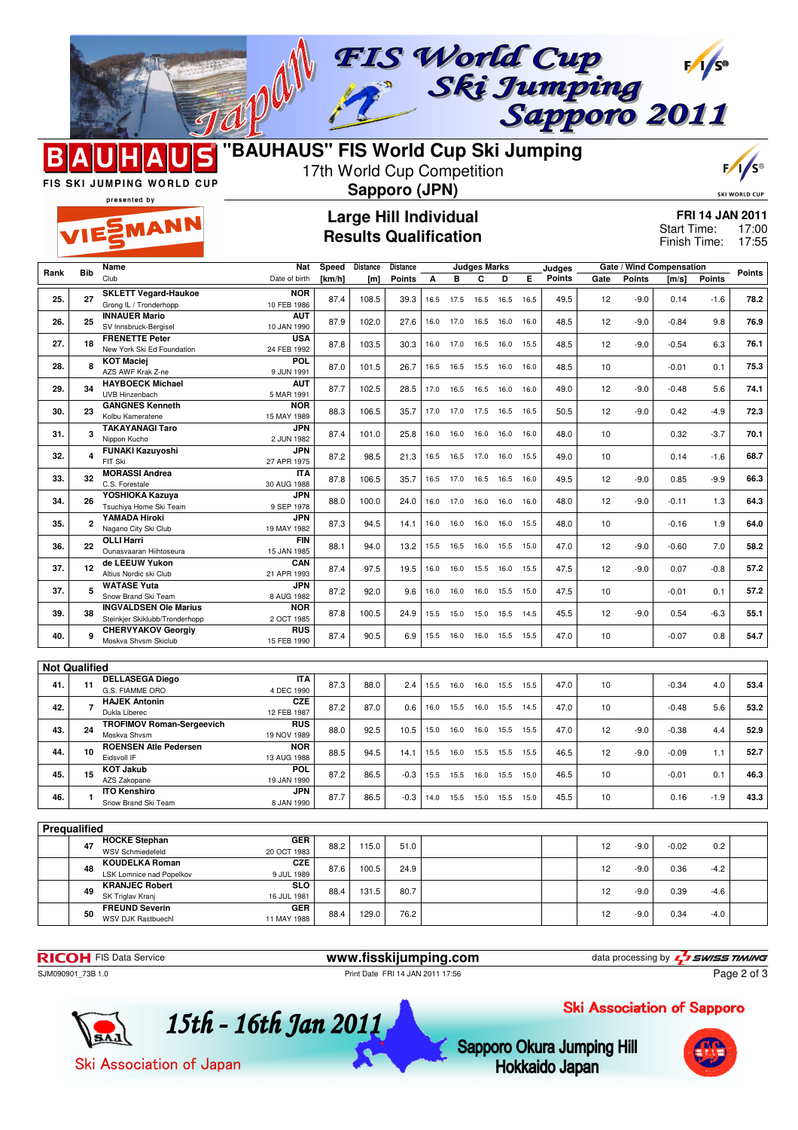



17th World Cup Competition



SKI WORLD CUP

FIS SKI JUMPING WORLD CUP

## **Sapporo (JPN)**

**FRI 14 JAN 2011**

presented by

EMANN

| <b>Large Hill Individual</b> |
|------------------------------|
| <b>Results Qualification</b> |

| FRI 14 JAN 2011 |       |
|-----------------|-------|
| Start Time:     | 17:00 |
| Finish Time:    | 17:55 |

|                      |                | Name                             | Nat           | Speed  | Distance | <b>Distance</b> |      |      | <b>Judges Marks</b> |                |      | Judges        |      |               | Gate / Wind Compensation |               |               |
|----------------------|----------------|----------------------------------|---------------|--------|----------|-----------------|------|------|---------------------|----------------|------|---------------|------|---------------|--------------------------|---------------|---------------|
| Rank                 | <b>Bib</b>     | Club                             | Date of birth | [km/h] | [m]      | <b>Points</b>   | A    | B    | C                   | D              | Е    | <b>Points</b> | Gate | <b>Points</b> | [m/s]                    | <b>Points</b> | <b>Points</b> |
|                      |                |                                  |               |        |          |                 |      |      |                     |                |      |               |      |               |                          |               |               |
| 25.                  | 27             | <b>SKLETT Vegard-Haukoe</b>      | <b>NOR</b>    | 87.4   | 108.5    | 39.3            | 16.5 | 17.5 | 16.5                | 16.5           | 16.5 | 49.5          | 12   | $-9.0$        | 0.14                     | $-1.6$        | 78.2          |
|                      |                | Grong IL / Tronderhopp           | 10 FEB 1986   |        |          |                 |      |      |                     |                |      |               |      |               |                          |               |               |
| 26.                  | 25             | <b>INNAUER Mario</b>             | <b>AUT</b>    | 87.9   | 102.0    | 27.6            | 16.0 | 17.0 |                     | 16.5 16.0      | 16.0 | 48.5          | 12   | $-9.0$        | $-0.84$                  | 9.8           | 76.9          |
|                      |                | SV Innsbruck-Bergisel            | 10 JAN 1990   |        |          |                 |      |      |                     |                |      |               |      |               |                          |               |               |
| 27.                  | 18             | <b>FRENETTE Peter</b>            | <b>USA</b>    | 87.8   | 103.5    | 30.3            | 16.0 | 17.0 | 16.5                | 16.0           | 15.5 | 48.5          | 12   | $-9.0$        | $-0.54$                  | 6.3           | 76.1          |
|                      |                | New York Ski Ed Foundation       | 24 FEB 1992   |        |          |                 |      |      |                     |                |      |               |      |               |                          |               |               |
| 28.                  | 8              | <b>KOT Maciej</b>                | <b>POL</b>    | 87.0   | 101.5    | 26.7            | 16.5 | 16.5 | 15.5                | 16.0           | 16.0 | 48.5          | 10   |               | $-0.01$                  | 0.1           | 75.3          |
|                      |                | AZS AWF Krak Z-ne                | 9 JUN 1991    |        |          |                 |      |      |                     |                |      |               |      |               |                          |               |               |
| 29.                  | 34             | <b>HAYBOECK Michael</b>          | <b>AUT</b>    | 87.7   | 102.5    | 28.5            | 17.0 | 16.5 | 16.5                | 16.0           | 16.0 | 49.0          | 12   | $-9.0$        | $-0.48$                  | 5.6           | 74.1          |
|                      |                | UVB Hinzenbach                   | 5 MAR 1991    |        |          |                 |      |      |                     |                |      |               |      |               |                          |               |               |
| 30.                  | 23             | <b>GANGNES Kenneth</b>           | <b>NOR</b>    | 88.3   | 106.5    | 35.7            | 17.0 | 17.0 | 17.5                | 16.5           | 16.5 | 50.5          | 12   | $-9.0$        | 0.42                     | $-4.9$        | 72.3          |
|                      |                | Kolbu Kameratene                 | 15 MAY 1989   |        |          |                 |      |      |                     |                |      |               |      |               |                          |               |               |
| 31.                  | 3              | <b>TAKAYANAGI Taro</b>           | <b>JPN</b>    | 87.4   | 101.0    | 25.8            | 16.0 | 16.0 | 16.0                | 16.0           | 16.0 | 48.0          | 10   |               | 0.32                     | $-3.7$        | 70.1          |
|                      |                | Nippon Kucho                     | 2 JUN 1982    |        |          |                 |      |      |                     |                |      |               |      |               |                          |               |               |
| 32.                  | $\overline{4}$ | <b>FUNAKI Kazuyoshi</b>          | <b>JPN</b>    | 87.2   | 98.5     | 21.3            | 16.5 | 16.5 | 17.0                | 16.0           | 15.5 | 49.0          | 10   |               | 0.14                     | $-1.6$        | 68.7          |
|                      |                | FIT Ski                          | 27 APR 1975   |        |          |                 |      |      |                     |                |      |               |      |               |                          |               |               |
| 33.                  | 32             | <b>MORASSI Andrea</b>            | <b>ITA</b>    | 87.8   | 106.5    | 35.7            | 16.5 | 17.0 | 16.5                | 16.5           | 16.0 | 49.5          | 12   | $-9.0$        | 0.85                     | $-9.9$        | 66.3          |
|                      |                | C.S. Forestale                   | 30 AUG 1988   |        |          |                 |      |      |                     |                |      |               |      |               |                          |               |               |
| 34.                  | 26             | YOSHIOKA Kazuya                  | JPN           | 88.0   | 100.0    | 24.0            | 16.0 | 17.0 |                     | 16.0 16.0      | 16.0 | 48.0          | 12   | $-9.0$        | $-0.11$                  | 1.3           | 64.3          |
|                      |                | Tsuchiva Home Ski Team           | 9 SEP 1978    |        |          |                 |      |      |                     |                |      |               |      |               |                          |               |               |
| 35.                  | $\overline{2}$ | YAMADA Hiroki                    | <b>JPN</b>    | 87.3   | 94.5     | 14.1            | 16.0 | 16.0 | 16.0                | 16.0           | 15.5 | 48.0          | 10   |               | $-0.16$                  | 1.9           | 64.0          |
|                      |                | Nagano City Ski Club             | 19 MAY 1982   |        |          |                 |      |      |                     |                |      |               |      |               |                          |               |               |
| 36.                  | 22             | <b>OLLI Harri</b>                | <b>FIN</b>    | 88.1   | 94.0     | 13.2            | 15.5 | 16.5 | 16.0                | 15.5           | 15.0 | 47.0          | 12   | $-9.0$        | $-0.60$                  | 7.0           | 58.2          |
|                      |                | Ounasvaaran Hiihtoseura          | 15 JAN 1985   |        |          |                 |      |      |                     |                |      |               |      |               |                          |               |               |
| 37.                  | 12             | de LEEUW Yukon                   | CAN           | 87.4   | 97.5     | 19.5            | 16.0 | 16.0 |                     | 15.5 16.0      | 15.5 | 47.5          | 12   | $-9.0$        | 0.07                     | $-0.8$        | 57.2          |
|                      |                | Altius Nordic ski Club           | 21 APR 1993   |        |          |                 |      |      |                     |                |      |               |      |               |                          |               |               |
| 37.                  | 5              | <b>WATASE Yuta</b>               | <b>JPN</b>    | 87.2   | 92.0     | 9.6             | 16.0 | 16.0 | 16.0                | 15.5           | 15.0 | 47.5          | 10   |               | $-0.01$                  | 0.1           | 57.2          |
|                      |                | Snow Brand Ski Team              | 8 AUG 1982    |        |          |                 |      |      |                     |                |      |               |      |               |                          |               |               |
| 39.                  | 38             | <b>INGVALDSEN Ole Marius</b>     | <b>NOR</b>    | 87.8   | 100.5    | 24.9            | 15.5 | 15.0 | 15.0                | 15.5           | 14.5 | 45.5          | 12   | $-9.0$        | 0.54                     | $-6.3$        | 55.1          |
|                      |                | Steinkjer Skiklubb/Tronderhopp   | 2 OCT 1985    |        |          |                 |      |      |                     |                |      |               |      |               |                          |               |               |
| 40.                  | 9              | <b>CHERVYAKOV Georgiy</b>        | <b>RUS</b>    | 87.4   | 90.5     | 6.9             | 15.5 | 16.0 |                     | 16.0 15.5      | 15.5 | 47.0          | 10   |               | $-0.07$                  | 0.8           | 54.7          |
|                      |                | Moskva Shvsm Skiclub             | 15 FEB 1990   |        |          |                 |      |      |                     |                |      |               |      |               |                          |               |               |
|                      |                |                                  |               |        |          |                 |      |      |                     |                |      |               |      |               |                          |               |               |
| <b>Not Qualified</b> |                |                                  |               |        |          |                 |      |      |                     |                |      |               |      |               |                          |               |               |
|                      |                | <b>DELLASEGA Diego</b>           | <b>ITA</b>    |        |          |                 |      |      |                     |                |      |               |      |               |                          |               |               |
| 41.                  | 11             | G.S. FIAMME ORO                  | 4 DEC 1990    | 87.3   | 88.0     | 2.4             | 15.5 | 16.0 |                     | 16.0 15.5 15.5 |      | 47.0          | 10   |               | $-0.34$                  | 4.0           | 53.4          |
|                      | $\overline{7}$ | <b>HAJEK Antonin</b>             | CZE           |        |          |                 |      |      |                     |                |      |               |      |               |                          |               |               |
| 42.                  |                | Dukla Liberec                    | 12 FEB 1987   | 87.2   | 87.0     | 0.6             | 16.0 | 15.5 | 16.0                | 15.5           | 14.5 | 47.0          | 10   |               | $-0.48$                  | 5.6           | 53.2          |
|                      |                | <b>TROFIMOV Roman-Sergeevich</b> | <b>RUS</b>    |        |          |                 |      |      |                     |                |      |               |      |               |                          |               |               |
| 43.                  | 24             | Moskva Shvsm                     | 19 NOV 1989   | 88.0   | 92.5     | 10.5            | 15.0 | 16.0 |                     | 16.0 15.5      | 15.5 | 47.0          | 12   | $-9.0$        | $-0.38$                  | 4.4           | 52.9          |
|                      |                | <b>ROENSEN Atle Pedersen</b>     | <b>NOR</b>    |        |          |                 |      |      |                     |                |      |               |      |               |                          |               |               |
| 44.                  | 10             | Eidsvoll IF                      | 13 AUG 1988   | 88.5   | 94.5     | 14.1            | 15.5 | 16.0 | 15.5                | 15.5           | 15.5 | 46.5          | 12   | $-9.0$        | $-0.09$                  | 1.1           | 52.7          |
|                      |                | <b>KOT Jakub</b>                 | POL           |        |          |                 |      |      |                     |                |      |               |      |               |                          |               |               |
| 45.                  | 15             | AZS Zakopane                     | 19 JAN 1990   | 87.2   | 86.5     | $-0.3$          | 15.5 | 15.5 | 16.0                | 15.5           | 15.0 | 46.5          | 10   |               | $-0.01$                  | 0.1           | 46.3          |
|                      |                | <b>ITO Kenshiro</b>              | <b>JPN</b>    |        |          |                 |      |      |                     |                |      |               |      |               |                          |               |               |
| 46.                  | 1              | Snow Brand Ski Team              | 8 JAN 1990    | 87.7   | 86.5     | $-0.3$          | 14.0 | 15.5 | 15.0                | 15.5           | 15.0 | 45.5          | 10   |               | 0.16                     | $-1.9$        | 43.3          |
|                      |                |                                  |               |        |          |                 |      |      |                     |                |      |               |      |               |                          |               |               |
| Prequalified         |                |                                  |               |        |          |                 |      |      |                     |                |      |               |      |               |                          |               |               |
|                      |                | <b>HOCKE Stephan</b>             | <b>GER</b>    |        |          |                 |      |      |                     |                |      |               |      |               |                          |               |               |
|                      | 47             | WSV Schmiedefeld                 | 20 OCT 1983   | 88.2   | 115.0    | 51.0            |      |      |                     |                |      |               | 12   | $-9.0$        | $-0.02$                  | 0.2           |               |
|                      |                | <b>KOUDELKA Roman</b>            | <b>CZE</b>    |        |          |                 |      |      |                     |                |      |               |      |               |                          |               |               |
|                      | 48             | LSK Lomnice nad Popelkov         | 9 JUL 1989    | 87.6   | 100.5    | 24.9            |      |      |                     |                |      |               | 12   | $-9.0$        | 0.36                     | $-4.2$        |               |
|                      |                |                                  |               |        |          |                 |      |      |                     |                |      |               |      |               |                          |               |               |

**<sup>49</sup> KRANJEC Robert** SK Triglav Kranj

**<sup>50</sup> FREUND Severin** WSV DJK Rastbuechl

**SLO**<br>16 JUL 1981

GER<br>11 MAY 1988

15th - 16th Jan 2011

**RICOH** FIS Data Service **www.fisskijumping.com** data processing by  $\frac{7}{2}$  **SWISS TIMING** 

Ski Association of Sapporo

SJM090901\_73B 1.0 Print Date FRI 14 JAN 2011 17:56

16 JUL 1981 88.4 131.5 80.7 20 12 12 -9.0 0.39 -4.6

11 MAY 1988 88.4 129.0 76.2 12 12 12 -9.0 0.34 -4.0

Page 2 of 3



**Sapporo Okura Jumping Hill Hokkaido Japan**